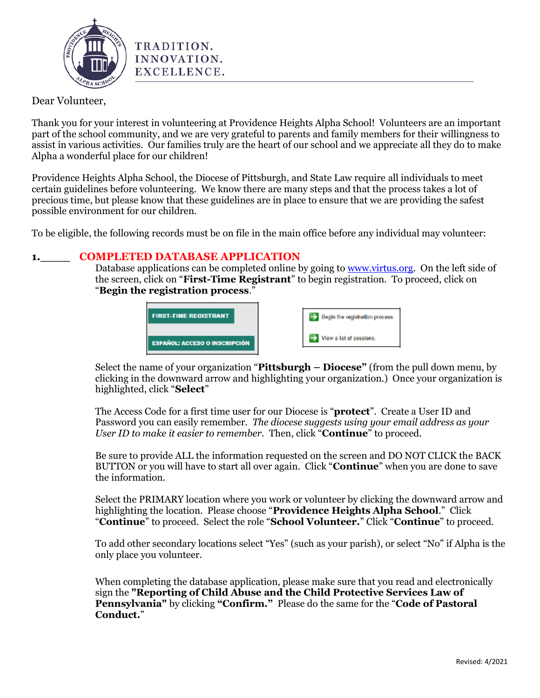

# Dear Volunteer,

Thank you for your interest in volunteering at Providence Heights Alpha School! Volunteers are an important part of the school community, and we are very grateful to parents and family members for their willingness to assist in various activities. Our families truly are the heart of our school and we appreciate all they do to make Alpha a wonderful place for our children!

Providence Heights Alpha School, the Diocese of Pittsburgh, and State Law require all individuals to meet certain guidelines before volunteering. We know there are many steps and that the process takes a lot of precious time, but please know that these guidelines are in place to ensure that we are providing the safest possible environment for our children.

To be eligible, the following records must be on file in the main office before any individual may volunteer:

### **1.\_\_\_\_ COMPLETED DATABASE APPLICATION**

TRADITION. INNOVATION. EXCELLENCE.

Database applications can be completed online by going to [www.virtus.org.](http://www.virtus.org/) On the left side of the screen, click on "**First-Time Registrant**" to begin registration. To proceed, click on "**Begin the registration process**."



Select the name of your organization "**Pittsburgh – Diocese"** (from the pull down menu, by clicking in the downward arrow and highlighting your organization.) Once your organization is highlighted, click "**Select**"

The Access Code for a first time user for our Diocese is "**protect**". Create a User ID and Password you can easily remember. *The diocese suggests using your email address as your User ID to make it easier to remember.* Then, click "**Continue**" to proceed.

Be sure to provide ALL the information requested on the screen and DO NOT CLICK the BACK BUTTON or you will have to start all over again. Click "**Continue**" when you are done to save the information.

Select the PRIMARY location where you work or volunteer by clicking the downward arrow and highlighting the location. Please choose "**Providence Heights Alpha School**." Click "**Continue**" to proceed. Select the role "**School Volunteer.**" Click "**Continue**" to proceed.

To add other secondary locations select "Yes" (such as your parish), or select "No" if Alpha is the only place you volunteer.

When completing the database application, please make sure that you read and electronically sign the **"Reporting of Child Abuse and the Child Protective Services Law of Pennsylvania"** by clicking **"Confirm."** Please do the same for the "**Code of Pastoral Conduct.**"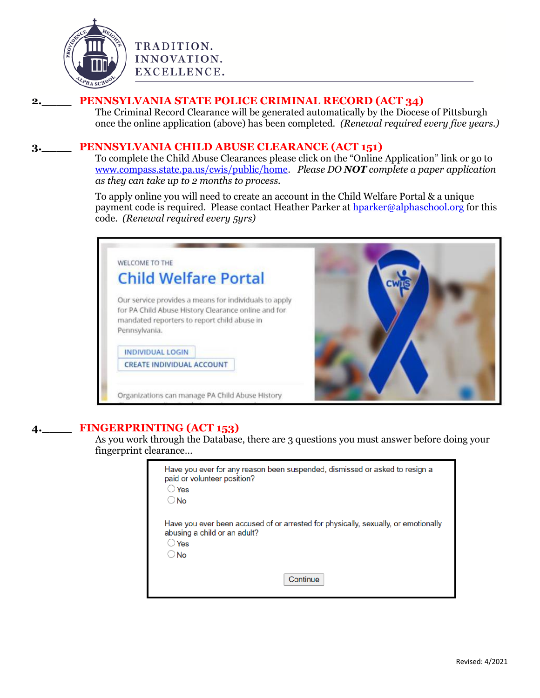

# TRADITION. INNOVATION. EXCELLENCE.

## **2.\_\_\_\_ PENNSYLVANIA STATE POLICE CRIMINAL RECORD (ACT 34)**

The Criminal Record Clearance will be generated automatically by the Diocese of Pittsburgh once the online application (above) has been completed. *(Renewal required every five years.)*

#### **3.\_\_\_\_ PENNSYLVANIA CHILD ABUSE CLEARANCE (ACT 151)**

To complete the Child Abuse Clearances please click on the "Online Application" link or go to [www.compass.state.pa.us/cwis/public/home.](file:///I:/Clearances/Clearances/www.compass.state.pa.us/cwis/public/home) *Please DO NOT complete a paper application as they can take up to 2 months to process.*

To apply online you will need to create an account in the Child Welfare Portal & a unique payment code is required. Please contact Heather Parker at [hparker@alphaschool.org](mailto:hparker@alphaschool.org) for this code. *(Renewal required every 5yrs)*



## **4.\_\_\_\_ FINGERPRINTING (ACT 153)**

As you work through the Database, there are 3 questions you must answer before doing your fingerprint clearance…

| Have you ever for any reason been suspended, dismissed or asked to resign a<br>paid or volunteer position?<br>$\bigcirc$ Yes<br>$\bigcirc$ No     |  |
|---------------------------------------------------------------------------------------------------------------------------------------------------|--|
| Have you ever been accused of or arrested for physically, sexually, or emotionally<br>abusing a child or an adult?<br>$\bigcirc$ Yes<br>$\Box$ No |  |
| Continue                                                                                                                                          |  |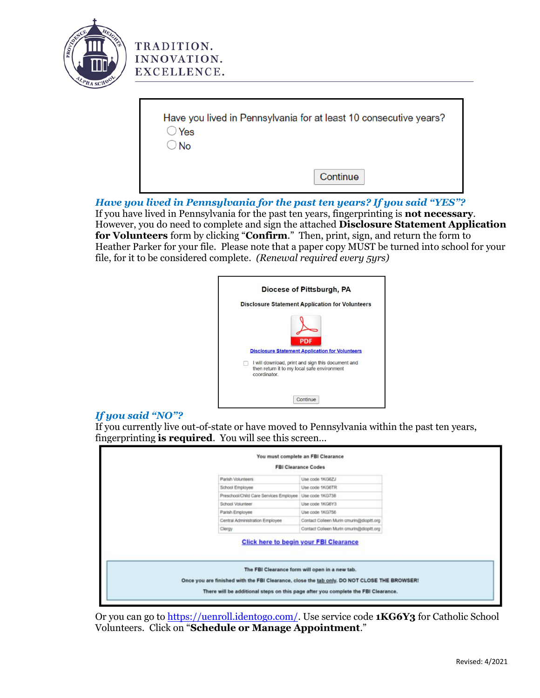

TRADITION. INNOVATION. EXCELLENCE.

| Have you lived in Pennsylvania for at least 10 consecutive years?<br>$\supset$ Yes |          |
|------------------------------------------------------------------------------------|----------|
| $\supset$ No                                                                       |          |
|                                                                                    |          |
|                                                                                    | Continue |

*Have you lived in Pennsylvania for the past ten years? If you said "YES"?* If you have lived in Pennsylvania for the past ten years, fingerprinting is **not necessary**. However, you do need to complete and sign the attached **Disclosure Statement Application for Volunteers** form by clicking "**Confirm**." Then, print, sign, and return the form to Heather Parker for your file. Please note that a paper copy MUST be turned into school for your file, for it to be considered complete. *(Renewal required every 5yrs)* 



#### *If you said "NO"?*

If you currently live out-of-state or have moved to Pennsylvania within the past ten years, fingerprinting **is required**. You will see this screen…

|                                                                                             | <b>FBI Clearance Codes</b>                     |
|---------------------------------------------------------------------------------------------|------------------------------------------------|
| Parish Volunteers                                                                           | Lise code 1KG6ZJ                               |
| School Employee                                                                             | Use code 1KG6TR                                |
| Preschool/Child Care Services Employee                                                      | Use code 1KG738                                |
| School Volunteer                                                                            | Use code 1KG6Y3                                |
| Parish Employee                                                                             | Use code 1KG756                                |
| Central Administration Employee                                                             | Contact Colleen Murin cmurin@diopitt.org       |
| Clergy                                                                                      | Contact Colleen Murin cmurin@diopitt.org       |
|                                                                                             | <b>Click here to begin your FBI Clearance</b>  |
| Once you are finished with the FBI Clearance, close the tab only. DO NOT CLOSE THE BROWSER! | The FBI Clearance form will open in a new tab. |
|                                                                                             |                                                |

Or you can go to [https://uenroll.identogo.com/.](https://uenroll.identogo.com/) Use service code **1KG6Y3** for Catholic School Volunteers. Click on "**Schedule or Manage Appointment**."